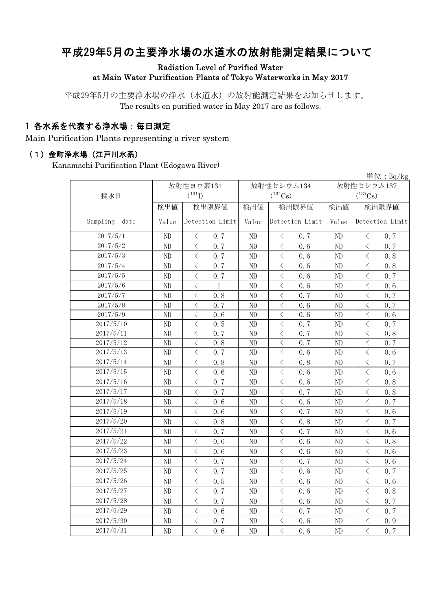# 平成29年5月の主要浄水場の水道水の放射能測定結果について

### Radiation Level of Purified Water at Main Water Purification Plants of Tokyo Waterworks in May 2017

平成29年5月の主要浄水場の浄水(水道水)の放射能測定結果をお知らせします。 The results on purified water in May 2017 are as follows.

### 1 各水系を代表する浄水場:毎日測定

Main Purification Plants representing a river system

#### (1)金町浄水場(江戸川水系)

Kanamachi Purification Plant (Edogawa River)

|                  |          |                                                 |       |                                                 |            | 単位: $Bq/kg$                                     |  |  |
|------------------|----------|-------------------------------------------------|-------|-------------------------------------------------|------------|-------------------------------------------------|--|--|
|                  |          | 放射性ヨウ素131                                       |       | 放射性セシウム134                                      | 放射性セシウム137 |                                                 |  |  |
| 採水日              |          | $(^{131}I)$                                     |       | $(^{134}Cs)$                                    |            | $(^{137}\mathrm{Cs})$                           |  |  |
|                  | 検出値      | 検出限界値                                           | 検出値   | 検出限界値                                           | 検出値        | 検出限界値                                           |  |  |
| Sampling<br>date | Value    | Detection Limit                                 | Value | Detection Limit                                 | Value      | Detection Limit                                 |  |  |
| 2017/5/1         | ND       | 0.7<br>$\lt$                                    | ND    | 0.7<br>$\lt$                                    | ND         | 0.7<br>$\langle$                                |  |  |
| 2017/5/2         | $\rm ND$ | $\langle$<br>0.7                                | ND    | $\langle$<br>0.6                                | $\rm ND$   | $\langle$<br>0.7                                |  |  |
| 2017/5/3         | ND       | $\langle$<br>0.7                                | ND    | $\lt$<br>0.6                                    | ND         | $\langle$<br>0.8                                |  |  |
| 2017/5/4         | ND       | $\overline{\left\langle \right\rangle }$<br>0.7 | ND    | $\langle$<br>0.6                                | ND         | $\langle$<br>0.8                                |  |  |
| 2017/5/5         | ND       | $\langle$<br>0.7                                | ND    | $\langle$<br>0.6                                | ND         | $\lt$<br>0.7                                    |  |  |
| 2017/5/6         | ND       | $\langle$<br>$\mathbf{1}$                       | ND    | 0.6<br>$\lt$                                    | ND         | $\lt$<br>0.6                                    |  |  |
| 2017/5/7         | ND       | $\langle$<br>0.8                                | ND    | $\langle$<br>0.7                                | ND         | $\lt$<br>0.7                                    |  |  |
| 2017/5/8         | ND       | $\overline{\left\langle \right\rangle }$<br>0.7 | ND    | 0.6<br>$\langle$                                | ND         | $\langle$<br>0.7                                |  |  |
| 2017/5/9         | ND       | $\overline{\left\langle \right\rangle }$<br>0.6 | ND    | $\overline{\left\langle \right\rangle }$<br>0.6 | ND         | $\langle$<br>0.6                                |  |  |
| 2017/5/10        | ND       | $\langle$<br>0.5                                | ND    | 0.7<br>$\lt$                                    | ND         | $\lt$<br>0.7                                    |  |  |
| 2017/5/11        | ND       | $\langle$<br>0.7                                | ND    | 0.7<br>$\lt$                                    | ND         | $\langle$<br>0, 8                               |  |  |
| 2017/5/12        | ND       | $\langle$<br>0.8                                | ND    | $\lt$<br>0.7                                    | ND         | $\lt$<br>0.7                                    |  |  |
| 2017/5/13        | $\rm ND$ | $\, <\,$<br>0.7                                 | ND    | $\lt$<br>0.6                                    | ND         | $\lt$<br>0, 6                                   |  |  |
| 2017/5/14        | ND       | $\langle$<br>0.8                                | ND    | $\, \zeta \,$<br>0.8                            | ND         | $\lt$<br>0.7                                    |  |  |
| 2017/5/15        | ND       | $\langle$<br>0.6                                | ND    | $\lt$<br>0.6                                    | ND         | $\lt$<br>0, 6                                   |  |  |
| 2017/5/16        | ND       | $\, \zeta \,$<br>0, 7                           | ND    | $\langle$<br>0.6                                | ND         | $\, <\,$<br>0.8                                 |  |  |
| 2017/5/17        | ND       | $\langle$<br>0.7                                | ND    | 0.7<br>$\lt$                                    | $\rm ND$   | $\, <\,$<br>0, 8                                |  |  |
| 2017/5/18        | $\rm ND$ | $\langle$<br>0.6                                | ND    | $\lt$<br>0.6                                    | $\rm ND$   | $\langle$<br>0.7                                |  |  |
| 2017/5/19        | ND       | $\langle$<br>0.6                                | ND    | $\lt$<br>0.7                                    | ND         | $\langle$<br>0.6                                |  |  |
| 2017/5/20        | ND       | $\langle$<br>0.8                                | ND    | $\langle$<br>0.8                                | ND         | $\langle$<br>0.7                                |  |  |
| 2017/5/21        | ND       | $\overline{\left\langle \right\rangle }$<br>0.7 | ND    | $\langle$<br>0.7                                | ND         | $\langle$<br>0.6                                |  |  |
| 2017/5/22        | ND       | $\langle$<br>0.6                                | ND    | $\langle$<br>0.6                                | ND         | $\lt$<br>0.8                                    |  |  |
| 2017/5/23        | ND       | $\overline{\left\langle \right\rangle }$<br>0.6 | ND    | 0.6<br>$\langle$                                | ND         | $\lt$<br>0.6                                    |  |  |
| 2017/5/24        | ND       | $\overline{\left\langle \right\rangle }$<br>0.7 | ND    | $\langle$<br>0.7                                | ND         | $\langle$<br>0.6                                |  |  |
| 2017/5/25        | $\rm ND$ | $\langle$<br>0.7                                | ND    | $\langle$<br>0.6                                | ND         | $\, \zeta \,$<br>0.7                            |  |  |
| 2017/5/26        | $\rm ND$ | $\overline{\left\langle \right\rangle }$<br>0.5 | ND    | $\langle$<br>0.6                                | ND         | $\langle$<br>0.6                                |  |  |
| 2017/5/27        | ND       | $\overline{\left\langle \right\rangle }$<br>0.7 | ND    | $\overline{\left\langle \right\rangle }$<br>0.6 | ND         | $\langle$<br>0.8                                |  |  |
| 2017/5/28        | ND       | $\overline{\left\langle \right\rangle }$<br>0.7 | ND    | $\langle$<br>0.6                                | ND         | $\overline{\left\langle \right\rangle }$<br>0.7 |  |  |
| 2017/5/29        | ND       | $\langle$<br>0.6                                | ND    | $\langle$<br>0.7                                | ND         | $\langle$<br>0.7                                |  |  |
| 2017/5/30        | ND       | $\langle$<br>0.7                                | ND    | $\lt$<br>0.6                                    | ND         | $\langle$<br>0.9                                |  |  |
| 2017/5/31        | ND       | $\overline{\langle}$<br>0.6                     | ND    | $\overline{\langle}$<br>0.6                     | ND         | $\langle$<br>0.7                                |  |  |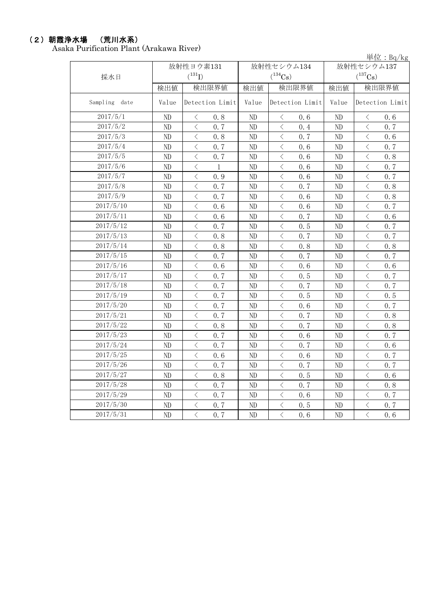### (2)朝霞浄水場 (荒川水系)

Asaka Purification Plant (Arakawa River)

単位:Bq/kg

| 採水日           | 放射性ヨウ素131<br>$(^{131}I)$ |                                          |                 |                          | 放射性セシウム134<br>$(^{134}Cs)$                                                                                                                                    |       | 放射性セシウム137<br>$(^{137}Cs)$ |                                          |       |  |
|---------------|--------------------------|------------------------------------------|-----------------|--------------------------|---------------------------------------------------------------------------------------------------------------------------------------------------------------|-------|----------------------------|------------------------------------------|-------|--|
|               | 検出値                      |                                          | 検出限界値           | 検出値                      |                                                                                                                                                               | 検出限界値 | 検出値                        |                                          | 検出限界値 |  |
| Sampling date | Value                    |                                          | Detection Limit | Value<br>Detection Limit |                                                                                                                                                               | Value | Detection Limit            |                                          |       |  |
| 2017/5/1      | ND                       | $\langle$                                | 0.8             | ND                       | $\lt$                                                                                                                                                         | 0.6   | ND                         | $\langle$                                | 0.6   |  |
| 2017/5/2      | $\rm ND$                 | $\langle$                                | 0.7             | ND                       | $\langle$                                                                                                                                                     | 0.4   | ND                         | $\langle$                                | 0.7   |  |
| 2017/5/3      | $\rm ND$                 | $\langle$                                | 0.8             | ND                       | $\lt$                                                                                                                                                         | 0.7   | ND                         | $\langle$                                | 0.6   |  |
| 2017/5/4      | ND                       | $\langle$                                | 0.7             | ND                       | $\,$ $\,$ $\,$                                                                                                                                                | 0.6   | ND                         | $\lt$                                    | 0.7   |  |
| 2017/5/5      | ND                       | $\lt$                                    | 0.7             | ND                       | $\, <\,$                                                                                                                                                      | 0.6   | ND                         | $\lt$                                    | 0.8   |  |
| 2017/5/6      | $\rm ND$                 | $\, \zeta \,$                            | $\mathbf{1}$    | $\rm ND$                 | $\, <\,$                                                                                                                                                      | 0.6   | ND                         | $\, <\,$                                 | 0.7   |  |
| 2017/5/7      | ND                       | $\langle$                                | 0.9             | ND                       | $\langle$                                                                                                                                                     | 0.6   | ND                         | $\langle$                                | 0.7   |  |
| 2017/5/8      | $\rm ND$                 | $\langle$                                | 0.7             | $\rm ND$                 | $\langle$                                                                                                                                                     | 0.7   | $\rm ND$                   | $\langle$                                | 0.8   |  |
| 2017/5/9      | $\rm ND$                 | $\langle$                                | 0.7             | $\rm ND$                 | $\langle$                                                                                                                                                     | 0.6   | ND                         | $\langle$                                | 0.8   |  |
| 2017/5/10     | ND                       | $\langle$                                | 0.6             | $\rm ND$                 | $\langle$                                                                                                                                                     | 0.6   | ND                         | $\overline{\left\langle \right\rangle }$ | 0.7   |  |
| 2017/5/11     | ND                       | $\, <\,$                                 | 0.6             | ND                       | $\lt$                                                                                                                                                         | 0.7   | ND                         | $\overline{\left\langle \right\rangle }$ | 0.6   |  |
| 2017/5/12     | $\rm ND$                 | $\overline{\left\langle \right\rangle }$ | 0.7             | ND                       | $\langle$                                                                                                                                                     | 0.5   | ND                         | $\lt$                                    | 0.7   |  |
| 2017/5/13     | $\rm ND$                 | $\langle$                                | 0.8             | $\rm ND$                 | $\overline{\left\langle \right. }% ,\left\langle \overline{\left\langle \right. }% ,\left\langle \overline{\left\langle \right\rangle }\right\rangle \right.$ | 0.7   | ND                         | $\overline{\left\langle \right\rangle }$ | 0.7   |  |
| 2017/5/14     | $\rm ND$                 | $\langle$                                | 0.8             | $\rm ND$                 | $\langle$                                                                                                                                                     | 0.8   | ND                         | $\langle$                                | 0.8   |  |
| 2017/5/15     | ND                       | $\langle$                                | 0, 7            | ND                       | $\langle$                                                                                                                                                     | 0.7   | ND                         | $\langle$                                | 0.7   |  |
| 2017/5/16     | $\rm ND$                 | $\langle$                                | 0.6             | ND                       | $\langle$                                                                                                                                                     | 0.6   | ND                         | $\langle$                                | 0.6   |  |
| 2017/5/17     | $\rm ND$                 | $\langle$                                | 0.7             | $\rm ND$                 | $\langle$                                                                                                                                                     | 0.5   | ND                         | $\langle$                                | 0.7   |  |
| 2017/5/18     | ND                       | $\overline{\left\langle \right\rangle }$ | 0.7             | $\rm ND$                 | $\lt$                                                                                                                                                         | 0.7   | ND                         | $\lt$                                    | 0.7   |  |
| 2017/5/19     | ND                       | $\langle$                                | 0.7             | ND                       | $\, <\,$                                                                                                                                                      | 0.5   | ND                         | $\langle$                                | 0.5   |  |
| 2017/5/20     | $\rm ND$                 | $\langle$                                | 0, 7            | ND                       | $\lt$                                                                                                                                                         | 0.6   | ND                         | $\lt$                                    | 0.7   |  |
| 2017/5/21     | $\rm ND$                 | $\langle$                                | 0.7             | $\rm ND$                 | $\langle$                                                                                                                                                     | 0.7   | ND                         | $\langle$                                | 0.8   |  |
| 2017/5/22     | ND                       | $\langle$                                | 0.8             | $\rm ND$                 | $\langle$                                                                                                                                                     | 0.7   | ND                         | $\lt$                                    | 0.8   |  |
| 2017/5/23     | $\rm ND$                 | $\langle$                                | 0.7             | ND                       | $\langle$                                                                                                                                                     | 0.6   | $\rm ND$                   | $\langle$                                | 0.7   |  |
| 2017/5/24     | ND                       | $\langle$                                | 0.7             | $\rm ND$                 | $\lt$                                                                                                                                                         | 0.7   | $\rm ND$                   | $\langle$                                | 0.6   |  |
| 2017/5/25     | ND                       | $\lt$                                    | 0.6             | $\rm ND$                 | $\lt$                                                                                                                                                         | 0.6   | $\rm ND$                   | $\lt$                                    | 0.7   |  |
| 2017/5/26     | ND                       | $\lt$                                    | 0.7             | ND                       | $\lt$                                                                                                                                                         | 0.7   | ND                         | $\lt$                                    | 0.7   |  |
| 2017/5/27     | $\rm ND$                 | $\langle$                                | 0.8             | $\rm ND$                 | $\langle$                                                                                                                                                     | 0.5   | ND                         | $\overline{\left\langle \right\rangle }$ | 0.6   |  |
| 2017/5/28     | $\rm ND$                 | $\lt$                                    | 0.7             | $\rm ND$                 | $\, <\,$                                                                                                                                                      | 0.7   | ND                         | $\langle$                                | 0.8   |  |
| 2017/5/29     | ND                       | $\langle$                                | 0, 7            | $\rm ND$                 | $\langle$                                                                                                                                                     | 0.6   | ND                         | $\langle$                                | 0.7   |  |
| 2017/5/30     | ND                       | $\langle$                                | 0.7             | ND                       | $\, <\,$                                                                                                                                                      | 0.5   | ND                         | $\langle$                                | 0.7   |  |
| 2017/5/31     | ND                       | $\langle$                                | 0.7             | $\rm ND$                 | $\langle$                                                                                                                                                     | 0.6   | $\rm ND$                   | $\overline{\left\langle \right\rangle }$ | 0.6   |  |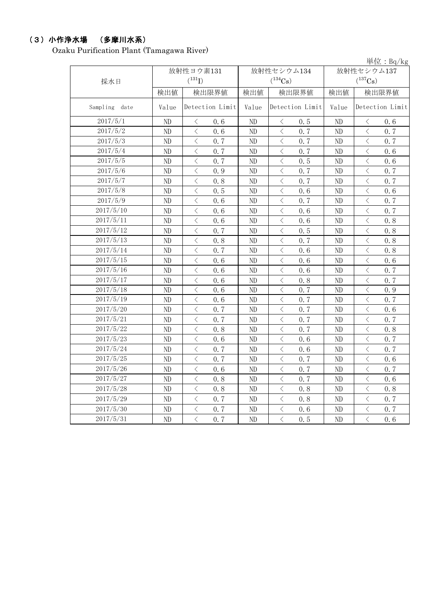### (3)小作浄水場 (多摩川水系)

Ozaku Purification Plant (Tamagawa River)

単位:Bq/kg

|               |          | 放射性ヨウ素131                                       |                          | 放射性セシウム134                                      | 放射性セシウム137 |                                                 |  |
|---------------|----------|-------------------------------------------------|--------------------------|-------------------------------------------------|------------|-------------------------------------------------|--|
| 採水日           |          | $(^{131}I)$                                     |                          | $(^{134}Cs)$                                    |            | $(^{137}\mathrm{Cs})$                           |  |
|               | 検出値      | 検出限界値                                           | 検出値                      | 検出限界値                                           | 検出値        | 検出限界値                                           |  |
| Sampling date | Value    | Detection Limit                                 | Detection Limit<br>Value |                                                 | Value      | Detection Limit                                 |  |
| 2017/5/1      | ND       | 0.6<br>$\langle$                                | $\rm ND$                 | 0.5<br>$\lt$                                    | ND.        | 0.6<br>$\lt$                                    |  |
| 2017/5/2      | ND       | $\langle$<br>0.6                                | $\rm ND$                 | $\overline{\left\langle \right\rangle }$<br>0.7 | ND         | $\overline{\left\langle \right\rangle }$<br>0.7 |  |
| 2017/5/3      | $\rm ND$ | $\langle$<br>0.7                                | ND                       | $\langle$<br>0.7                                | ND         | $\langle$<br>0.7                                |  |
| 2017/5/4      | $\rm ND$ | $\langle$<br>0.7                                | ND                       | $\langle$<br>0.7                                | ND         | $\overline{\left\langle \right\rangle }$<br>0.6 |  |
| 2017/5/5      | $\rm ND$ | $\langle$<br>0, 7                               | ND                       | $\lt$<br>0.5                                    | ND         | $\langle$<br>0.6                                |  |
| 2017/5/6      | $\rm ND$ | $\overline{\left\langle \right\rangle }$<br>0.9 | $\rm ND$                 | $\overline{\left\langle \right\rangle }$<br>0.7 | ND         | $\langle$<br>0.7                                |  |
| 2017/5/7      | $\rm ND$ | $\langle$<br>0.8                                | ND                       | $\lt$<br>0.7                                    | ND         | $\langle$<br>0.7                                |  |
| 2017/5/8      | $\rm ND$ | $\lt$<br>0.5                                    | ND                       | $\, \zeta \,$<br>0.6                            | ND         | $\lt$<br>0.6                                    |  |
| 2017/5/9      | ND       | $\, <\,$<br>0.6                                 | ND                       | $\, <\,$<br>0.7                                 | ND         | $\, <\,$<br>0.7                                 |  |
| 2017/5/10     | $\rm ND$ | $\, <\,$<br>0.6                                 | ND                       | $\langle$<br>0.6                                | ND         | $\, <\,$<br>0.7                                 |  |
| 2017/5/11     | ND       | $\langle$<br>0.6                                | ND                       | $\langle$<br>0.6                                | ND         | $\langle$<br>0.8                                |  |
| 2017/5/12     | $\rm ND$ | $\langle$<br>0.7                                | ND                       | $\langle$<br>0.5                                | ND         | $\langle$<br>0.8                                |  |
| 2017/5/13     | $\rm ND$ | $\lt$<br>0.8                                    | ND                       | $\lt$<br>0.7                                    | ND         | $\lt$<br>0.8                                    |  |
| 2017/5/14     | $\rm ND$ | $\langle$<br>0.7                                | $\rm ND$                 | $\lt$<br>0.6                                    | ND         | $\lt$<br>0.8                                    |  |
| 2017/5/15     | ND       | $\langle$<br>0.6                                | ND                       | $\lt$<br>0.6                                    | ND         | $\langle$<br>0.6                                |  |
| 2017/5/16     | ND       | $\langle$<br>0.6                                | ND                       | $\lt$<br>0.6                                    | ND         | $\lt$<br>0.7                                    |  |
| 2017/5/17     | $\rm ND$ | $\, <\,$<br>0.6                                 | ND                       | 0.8<br>$\, <\,$                                 | ND         | $\, <\,$<br>0.7                                 |  |
| 2017/5/18     | ND       | $\langle$<br>0.6                                | ND                       | $\langle$<br>0.7                                | ND         | $\langle$<br>0.9                                |  |
| 2017/5/19     | ND       | $\,$ $\,$ $\,$<br>0.6                           | ND                       | 0.7<br>$\, <\,$                                 | ND         | $\,$ $\,$ $\,$<br>0.7                           |  |
| 2017/5/20     | $\rm ND$ | $\overline{\left\langle \right\rangle }$<br>0.7 | $\rm ND$                 | $\overline{\left\langle \right\rangle }$<br>0.7 | ND         | $\overline{\left\langle \right\rangle }$<br>0.6 |  |
| 2017/5/21     | $\rm ND$ | $\langle$<br>0.7                                | ND                       | $\langle$<br>0.7                                | ND         | $\langle$<br>0.7                                |  |
| 2017/5/22     | $\rm ND$ | $\lt$<br>0.8                                    | ND                       | $\langle$<br>0.7                                | ND         | $\langle$<br>0.8                                |  |
| 2017/5/23     | ND       | $\langle$<br>0.6                                | ND                       | $\langle$<br>0.6                                | ND         | $\langle$<br>0.7                                |  |
| 2017/5/24     | $\rm ND$ | $\langle$<br>0.7                                | $\rm ND$                 | $\overline{\left\langle \right\rangle }$<br>0.6 | $\rm ND$   | $\langle$<br>0.7                                |  |
| 2017/5/25     | $\rm ND$ | $\langle$<br>0.7                                | $\rm ND$                 | $\lt$<br>0.7                                    | $\rm ND$   | $\langle$<br>0.6                                |  |
| 2017/5/26     | ND       | $\langle$<br>0.6                                | ND                       | $\lt$<br>0.7                                    | ND         | $\lt$<br>0.7                                    |  |
| 2017/5/27     | ND       | $\, <\,$<br>0.8                                 | ND                       | $\, <\,$<br>0.7                                 | ND         | $\, <\,$<br>0.6                                 |  |
| 2017/5/28     | $\rm ND$ | $\, <\,$<br>0.8                                 | ND                       | $\, <\,$<br>0.8                                 | ND         | $\, <\,$<br>0.8                                 |  |
| 2017/5/29     | ND       | $\langle$<br>0.7                                | $\rm ND$                 | $\langle$<br>0.8                                | $\rm ND$   | $\langle$<br>0.7                                |  |
| 2017/5/30     | $\rm ND$ | $\langle$<br>0.7                                | $\rm ND$                 | $\, \zeta \,$<br>0.6                            | $\rm ND$   | $\langle$<br>0.7                                |  |
| 2017/5/31     | $\rm ND$ | $\langle$<br>0.7                                | $\rm ND$                 | $\langle$<br>0.5                                | ND         | $\langle$<br>$0.\,6$                            |  |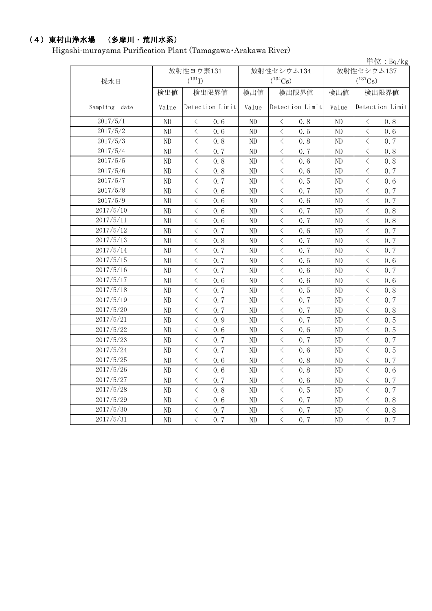# (4)東村山浄水場 (多摩川・荒川水系)

Higashi-murayama Purification Plant (Tamagawa・Arakawa River)

|               |          |                                          |                  |          |                                          |       |            |                                          | 単位: $Bq/kg$ |
|---------------|----------|------------------------------------------|------------------|----------|------------------------------------------|-------|------------|------------------------------------------|-------------|
|               |          | 放射性ヨウ素131                                |                  |          | 放射性セシウム134                               |       | 放射性セシウム137 |                                          |             |
| 採水日           |          | $(^{131}I)$                              |                  |          | $(^{134}Cs)$                             |       |            | $(^{137}\mathrm{Cs})$                    |             |
|               | 検出値      |                                          | 検出限界値            | 検出値      |                                          | 検出限界値 | 検出値        |                                          | 検出限界値       |
| Sampling date | Value    |                                          | Detection Limit  | Value    | Detection Limit                          |       | Value      | Detection Limit                          |             |
| 2017/5/1      | ND       | $\langle$                                | 0.6              | ND       | $\langle$                                | 0.8   | ND         | $\lt$                                    | 0.8         |
| 2017/5/2      | ND       | $\langle$                                | 0.6              | ND       | $\langle$                                | 0.5   | $\rm ND$   | $\lt$                                    | 0.6         |
| 2017/5/3      | $\rm ND$ | $\langle$                                | 0.8              | ND       | $\langle$                                | 0.8   | $\rm ND$   | $\langle$                                | 0.7         |
| 2017/5/4      | ND       | $\, <\,$                                 | 0.7              | ND       | $\langle$                                | 0.7   | $\rm ND$   | $\lt$                                    | 0.8         |
| 2017/5/5      | ND       | $\langle$                                | 0.8              | ND       | $\langle$                                | 0, 6  | $\rm ND$   | $\langle$                                | 0.8         |
| 2017/5/6      | ND       | $\langle$                                | 0.8              | ND       | $\lt$                                    | 0.6   | $\rm ND$   | $\langle$                                | 0.7         |
| 2017/5/7      | ND       | $\lt$                                    | 0.7              | ND       | $\langle$                                | 0.5   | $\rm ND$   | $\,$ $\,$ $\,$                           | 0.6         |
| 2017/5/8      | $\rm ND$ | $\langle$                                | 0.6              | $\rm ND$ | $\langle$                                | 0.7   | $\rm ND$   | $\hspace{0.5cm}\big\langle$              | 0.7         |
| 2017/5/9      | ND       | $\langle$                                | 0.6              | $\rm ND$ | $\lt$                                    | 0.6   | $\rm ND$   | $\,$ $\,$ $\,$                           | 0.7         |
| 2017/5/10     | ND       | $\lt$                                    | 0.6              | ND       | $\,$ $\,$ $\,$                           | 0.7   | ND         | $\lt$                                    | 0.8         |
| 2017/5/11     | ND       | $\lt$                                    | 0.6              | ND       | $\lt$                                    | 0.7   | $\rm ND$   | $\lt$                                    | 0.8         |
| 2017/5/12     | $\rm ND$ | $\lt$                                    | 0.7              | $\rm ND$ | $\langle$                                | 0.6   | $\rm ND$   | $\langle$                                | 0.7         |
| 2017/5/13     | ND       | $\langle$                                | 0.8              | $\rm ND$ | $\langle$                                | 0.7   | $\rm ND$   | $\lt$                                    | 0.7         |
| 2017/5/14     | ND       | $\langle$                                | 0.7              | ND       | $\langle$                                | 0.7   | ND         | $\,$ $\,$ $\,$                           | 0.7         |
| 2017/5/15     | ND       | $\langle$                                | 0.7              | ND       | $\lt$                                    | 0.5   | ND         | $\lt$                                    | 0.6         |
| 2017/5/16     | ND       | $\langle$                                | 0.7              | ND       | $\lt$                                    | 0.6   | ND         | $\lt$                                    | 0.7         |
| 2017/5/17     | $\rm ND$ | $\langle$                                | 0.6              | ND       | $\langle$                                | 0.6   | $\rm ND$   | $\langle$                                | 0.6         |
| 2017/5/18     | ND       | $\langle$                                | 0.7              | ND       | $\langle$                                | 0.5   | $\rm ND$   | $\langle$                                | 0.8         |
| 2017/5/19     | ND       | $\lt$                                    | 0.7              | ND       | $\lt$                                    | 0.7   | ND         | $\langle$                                | 0.7         |
| 2017/5/20     | ND       | $\langle$                                | 0.7              | ND       | $\langle$                                | 0.7   | ND         | $\,$ $\,$ $\,$                           | 0.8         |
| 2017/5/21     | ND       | $\langle$                                | 0.9              | ND       | $\lt$                                    | 0.7   | $\rm ND$   | $\lt$                                    | 0.5         |
| 2017/5/22     | ND       | $\lt$                                    | 0.6              | ND       | $\lt$                                    | 0.6   | ND         | $\,$ $\,$ $\,$                           | 0.5         |
| 2017/5/23     | ND       | $\overline{\left\langle \right\rangle }$ | 0.7              | ND       | $\langle$                                | 0.7   | $\rm ND$   | $\langle$                                | 0.7         |
| 2017/5/24     | ND       | $\langle$                                | 0.7              | ND       | $\langle$                                | 0.6   | ND         | $\langle$                                | 0.5         |
| 2017/5/25     | ND       | $\overline{\left\langle \right\rangle }$ | 0.6              | ND       | $\overline{\left\langle \right\rangle }$ | 0.8   | ND         | $\langle$                                | 0.7         |
| 2017/5/26     | ND       | $\lt$                                    | 0.6              | ND       | $\langle$                                | 0.8   | ND         | $\lt$                                    | 0.6         |
| 2017/5/27     | ND       | $\langle$                                | 0.7              | ND       | $\langle$                                | 0.6   | ND         | $\,$ $\,$ $\,$                           | 0.7         |
| 2017/5/28     | ND       | $\langle$                                | 0.8              | ND       | $\langle$                                | 0.5   | ND         | $\langle$                                | 0.7         |
| 2017/5/29     | ND       | $\langle$                                | 0.6              | ND       | $\langle$                                | 0.7   | $\rm ND$   | $\langle$                                | 0.8         |
| 2017/5/30     | ND       | $\, \zeta \,$                            | 0.7              | ND       | $\, \zeta \,$                            | 0.7   | ND         | $\hspace{0.1mm} <$                       | 0.8         |
| 2017/5/31     | ND       | $\langle$                                | $0.\overline{7}$ | ND       | $\langle$                                | 0.7   | $\rm ND$   | $\overline{\left\langle \right\rangle }$ | 0.7         |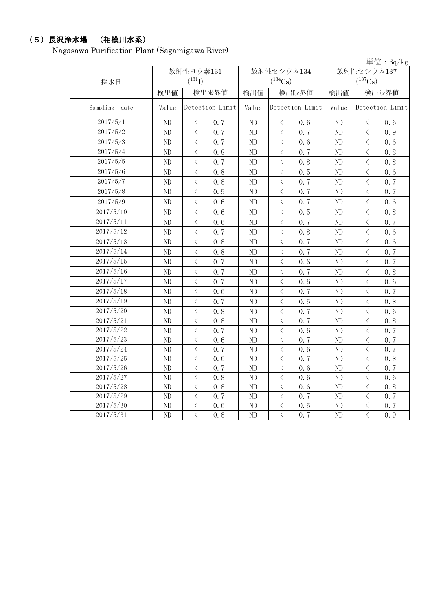## (5)長沢浄水場 (相模川水系)

Nagasawa Purification Plant (Sagamigawa River)

|               |          |                                                 |          |                                                 |            | 単位: $Bq/kg$                                                                                                                                                          |  |  |
|---------------|----------|-------------------------------------------------|----------|-------------------------------------------------|------------|----------------------------------------------------------------------------------------------------------------------------------------------------------------------|--|--|
|               |          | 放射性ヨウ素131                                       |          | 放射性セシウム134                                      | 放射性セシウム137 |                                                                                                                                                                      |  |  |
| 採水日           |          | $(^{131}I)$                                     |          | $(^{134}Cs)$                                    |            | $(^{137}\mathrm{Cs})$                                                                                                                                                |  |  |
|               | 検出値      | 検出限界値                                           | 検出値      | 検出限界値                                           | 検出値        | 検出限界値                                                                                                                                                                |  |  |
| Sampling date | Value    | Detection Limit                                 | Value    | Detection Limit                                 | Value      | Detection Limit                                                                                                                                                      |  |  |
| 2017/5/1      | ND       | 0.7<br>$\langle$                                | ND       | 0.6<br>$\langle$                                | ND         | 0.6<br>$\langle$                                                                                                                                                     |  |  |
| 2017/5/2      | ND       | $\overline{\left\langle \right\rangle }$<br>0.7 | ND       | $\langle$<br>0.7                                | ND         | $\langle$<br>0.9                                                                                                                                                     |  |  |
| 2017/5/3      | ND       | $\overline{\left\langle \right\rangle }$<br>0.7 | ND       | $\overline{\left\langle \right\rangle }$<br>0.6 | $\rm ND$   | $\overline{\left\langle \right\rangle }$<br>0.6                                                                                                                      |  |  |
| 2017/5/4      | ND       | $\lt$<br>0.8                                    | ND       | $\overline{\left\langle \right\rangle }$<br>0.7 | ND         | $\langle$<br>0.8                                                                                                                                                     |  |  |
| 2017/5/5      | ND       | $\lt$<br>0.7                                    | ND       | $\langle$<br>0.8                                | ND         | $\langle$<br>0.8                                                                                                                                                     |  |  |
| 2017/5/6      | ND       | $\langle$<br>0.8                                | ND       | $\,$ $\,$ $\,$<br>0.5                           | ND         | $\langle$<br>0.6                                                                                                                                                     |  |  |
| 2017/5/7      | ND       | $\langle$<br>0.8                                | ND       | $\lt$<br>0.7                                    | ND         | $\langle$<br>0.7                                                                                                                                                     |  |  |
| 2017/5/8      | $\rm ND$ | $\langle$<br>0.5                                | ND       | $\langle$<br>0.7                                | $\rm ND$   | $\langle$<br>0.7                                                                                                                                                     |  |  |
| 2017/5/9      | ND       | $\lt$<br>0.6                                    | ND       | $\langle$<br>0, 7                               | $\rm ND$   | $\langle$<br>0.6                                                                                                                                                     |  |  |
| 2017/5/10     | ND       | $\langle$<br>0.6                                | ND       | $\lt$<br>0.5                                    | ND         | $\lt$<br>0.8                                                                                                                                                         |  |  |
| 2017/5/11     | ND       | $\, <\,$<br>0.6                                 | ND       | $\hspace{0.5cm}\big\langle$<br>0.7              | ND         | $\hspace{0.1mm}\mathopen{\begin{array}{c}\mathopen{\fbox{$\scriptstyle<\}}\end{array}}\hspace{-0.1mm}$<br>0.7                                                        |  |  |
| 2017/5/12     | ND       | $\, <\,$<br>0.7                                 | ND       | $\hspace{0.1mm} <$<br>0.8                       | ND         | $\langle$<br>0.6                                                                                                                                                     |  |  |
| 2017/5/13     | $\rm ND$ | $\lt$<br>0.8                                    | ND       | $\langle$<br>0.7                                | ND         | $\langle$<br>0.6                                                                                                                                                     |  |  |
| 2017/5/14     | ND       | $\langle$<br>0.8                                | ND       | $\langle$<br>0.7                                | $\rm ND$   | $\langle$<br>0.7                                                                                                                                                     |  |  |
| 2017/5/15     | ND       | $\langle$<br>0.7                                | ND       | $\langle$<br>0.6                                | ND         | $\langle$<br>0.7                                                                                                                                                     |  |  |
| 2017/5/16     | ND       | $\langle$<br>0.7                                | ND       | $\lt$<br>0.7                                    | ND         | $\langle$<br>0.8                                                                                                                                                     |  |  |
| 2017/5/17     | ND       | $\langle$<br>0.7                                | $\rm ND$ | $\langle$<br>0.6                                | ND         | $\hspace{0.1mm} <$<br>0.6                                                                                                                                            |  |  |
| 2017/5/18     | ND       | $\lt$<br>0.6                                    | ND       | $\langle$<br>0.7                                | ND         | $\langle$<br>0.7                                                                                                                                                     |  |  |
| 2017/5/19     | ND       | $\langle$<br>0.7                                | ND       | $\langle$<br>0.5                                | ND         | $\,$ $\,$ $\,$<br>0.8                                                                                                                                                |  |  |
| 2017/5/20     | ND       | 0.8<br>$\lt$                                    | ND       | $\lt$<br>0.7                                    | ND         | $\,$ $\,$ $\,$<br>0.6                                                                                                                                                |  |  |
| 2017/5/21     | ND       | $\overline{\left\langle \right\rangle }$<br>0.8 | ND       | $\overline{\left\langle \right\rangle }$<br>0.7 | $\rm ND$   | $\langle$<br>0.8                                                                                                                                                     |  |  |
| 2017/5/22     | ND       | $\langle$<br>0.7                                | ND       | $\langle$<br>0.6                                | ND         | $\,$ $\,$ $\,$<br>0.7                                                                                                                                                |  |  |
| 2017/5/23     | $\rm ND$ | $\langle$<br>0.6                                | $\rm ND$ | $\langle$<br>0.7                                | $\rm ND$   | $\langle$<br>0.7                                                                                                                                                     |  |  |
| 2017/5/24     | ND       | $\langle$<br>0.7                                | ND       | $\,$ $\,$ $\,$<br>0.6                           | ND         | $\,$ $\,$ $\,$<br>0.7                                                                                                                                                |  |  |
| 2017/5/25     | ND       | $\langle$<br>0.6                                | ND       | $\hspace{0.1mm} <$<br>0.7                       | ND         | $\langle$<br>0.8                                                                                                                                                     |  |  |
| 2017/5/26     | ND       | $\langle$<br>0.7                                | ND       | $\langle$<br>0.6                                | ND         | $\langle$<br>0.7                                                                                                                                                     |  |  |
| 2017/5/27     | ND       | $\lt$<br>0.8                                    | ND       | $\lt$<br>0.6                                    | ND         | $\, \zeta \,$<br>0.6                                                                                                                                                 |  |  |
| 2017/5/28     | ND       | $\langle$<br>0.8                                | ND       | $\langle$<br>0.6                                | ND         | $\hspace{0.5cm}\big\langle$<br>0.8                                                                                                                                   |  |  |
| 2017/5/29     | ND       | $\lt$<br>0.7                                    | ND       | $\lt$<br>0.7                                    | ND         | $\lt$<br>0.7                                                                                                                                                         |  |  |
| 2017/5/30     | ND       | $\langle$<br>0.6                                | ND       | $\langle$<br>0.5                                | $\rm ND$   | $\overline{\left\langle \right. }% ,\left\langle \overline{\left\langle \right. }% ,\left\langle \overline{\left\langle \right\rangle }\right\rangle \right.$<br>0.7 |  |  |
| 2017/5/31     | ND       | $\overline{\left\langle \right\rangle }$<br>0.8 | ND       | $\overline{\left\langle \right\rangle }$<br>0.7 | $\rm ND$   | $\langle$<br>0.9                                                                                                                                                     |  |  |